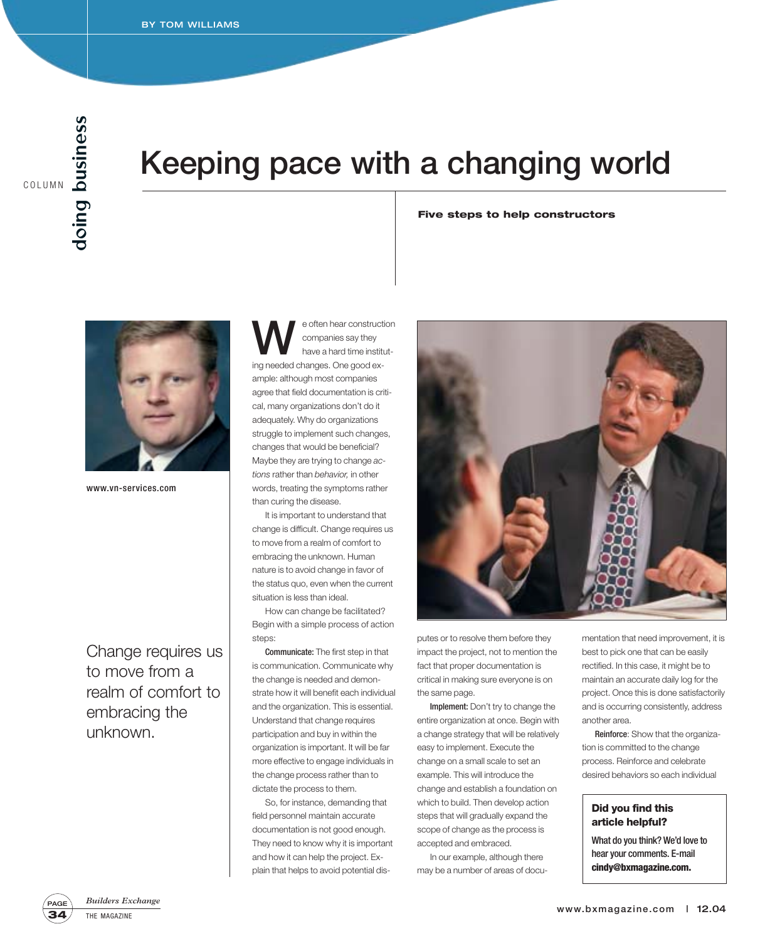### **Keeping pace with a changing world**

**Five steps to help constructors** 



www.vn-services.com

Change requires us to move from a realm of comfort to embracing the unknown.

e often hear construction<br>
have a hard time institut-<br> **instanced a** behave a Construction companies say they ing needed changes. One good example: although most companies agree that field documentation is critical, many organizations don't do it adequately. Why do organizations struggle to implement such changes, changes that would be beneficial? Maybe they are trying to change *actions* rather than *behavior,* in other words, treating the symptoms rather than curing the disease.

It is important to understand that change is difficult. Change requires us to move from a realm of comfort to embracing the unknown. Human nature is to avoid change in favor of the status quo, even when the current situation is less than ideal.

How can change be facilitated? Begin with a simple process of action steps:

Communicate: The first step in that is communication. Communicate why the change is needed and demonstrate how it will benefit each individual and the organization. This is essential. Understand that change requires participation and buy in within the organization is important. It will be far more effective to engage individuals in the change process rather than to dictate the process to them.

So, for instance, demanding that field personnel maintain accurate documentation is not good enough. They need to know why it is important and how it can help the project. Explain that helps to avoid potential dis-



putes or to resolve them before they impact the project, not to mention the fact that proper documentation is critical in making sure everyone is on the same page.

Implement: Don't try to change the entire organization at once. Begin with a change strategy that will be relatively easy to implement. Execute the change on a small scale to set an example. This will introduce the change and establish a foundation on which to build. Then develop action steps that will gradually expand the scope of change as the process is accepted and embraced.

In our example, although there may be a number of areas of documentation that need improvement, it is best to pick one that can be easily rectified. In this case, it might be to maintain an accurate daily log for the project. Once this is done satisfactorily and is occurring consistently, address another area.

Reinforce: Show that the organization is committed to the change process. Reinforce and celebrate desired behaviors so each individual

### **Did you find this article helpful?**

What do you think? We'd love to hear your comments. E-mail **cindy@bxmagazine.com.**